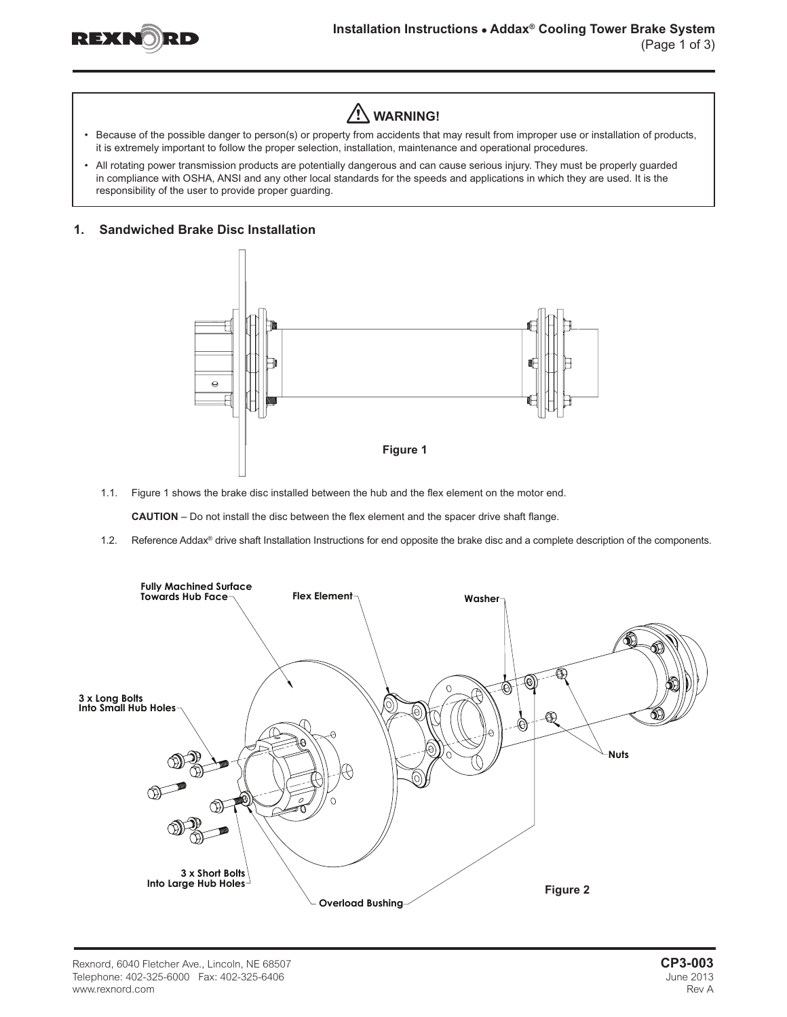



- Because of the possible danger to person(s) or property from accidents that may result from improper use or installation of products, it is extremely important to follow the proper selection, installation, maintenance and operational procedures.
- • All rotating power transmission products are potentially dangerous and can cause serious injury. They must be properly guarded in compliance with OSHA, ANSI and any other local standards for the speeds and applications in which they are used. It is the responsibility of the user to provide proper guarding.

# **1. Sandwiched Brake Disc Installation**



1.1. Figure 1 shows the brake disc installed between the hub and the flex element on the motor end.

**CAUTION** – Do not install the disc between the flex element and the spacer drive shaft flange.

1.2. Reference Addax® drive shaft Installation Instructions for end opposite the brake disc and a complete description of the components.

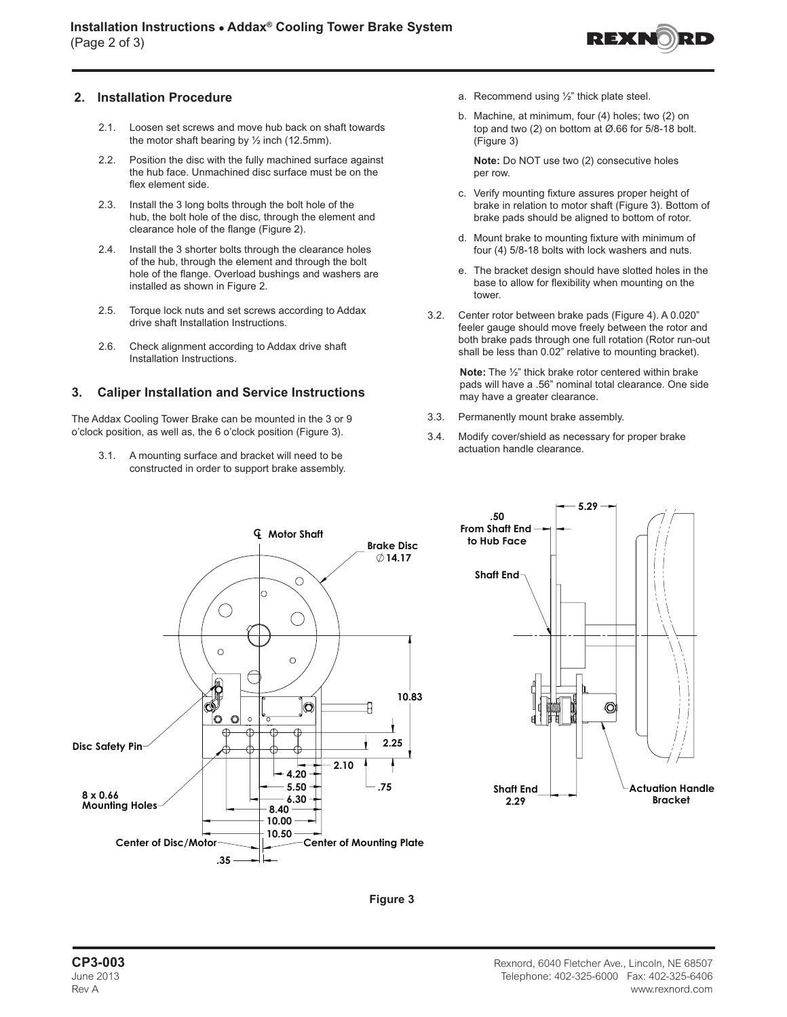

# **2. Installation Procedure**

- 2.1. Loosen set screws and move hub back on shaft towards the motor shaft bearing by  $\frac{1}{2}$  inch (12.5mm).
- 2.2. Position the disc with the fully machined surface against the hub face. Unmachined disc surface must be on the flex element side.
- 2.3. Install the 3 long bolts through the bolt hole of the hub, the bolt hole of the disc, through the element and clearance hole of the flange (Figure 2).
- 2.4. Install the 3 shorter bolts through the clearance holes of the hub, through the element and through the bolt hole of the flange. Overload bushings and washers are installed as shown in Figure 2.
- 2.5. Torque lock nuts and set screws according to Addax drive shaft Installation Instructions.
- 2.6. Check alignment according to Addax drive shaft Installation Instructions.

### **3. Caliper Installation and Service Instructions**

The Addax Cooling Tower Brake can be mounted in the 3 or 9 o'clock position, as well as, the 6 o'clock position (Figure 3).

3.1. A mounting surface and bracket will need to be constructed in order to support brake assembly.

- a. Recommend using ½" thick plate steel.
- b. Machine, at minimum, four (4) holes; two (2) on top and two (2) on bottom at Ø.66 for 5/8-18 bolt. (Figure 3)

**Note:** Do NOT use two (2) consecutive holes per row.

- c. Verify mounting fixture assures proper height of brake in relation to motor shaft (Figure 3). Bottom of brake pads should be aligned to bottom of rotor.
- d. Mount brake to mounting fixture with minimum of four (4) 5/8-18 bolts with lock washers and nuts.
- e. The bracket design should have slotted holes in the base to allow for flexibility when mounting on the tower.
- 3.2. Center rotor between brake pads (Figure 4). A 0.020" feeler gauge should move freely between the rotor and both brake pads through one full rotation (Rotor run-out shall be less than 0.02" relative to mounting bracket).

**Note:** The ½" thick brake rotor centered within brake pads will have a .56" nominal total clearance. One side may have a greater clearance.

- 3.3. Permanently mount brake assembly.
- 3.4. Modify cover/shield as necessary for proper brake actuation handle clearance.